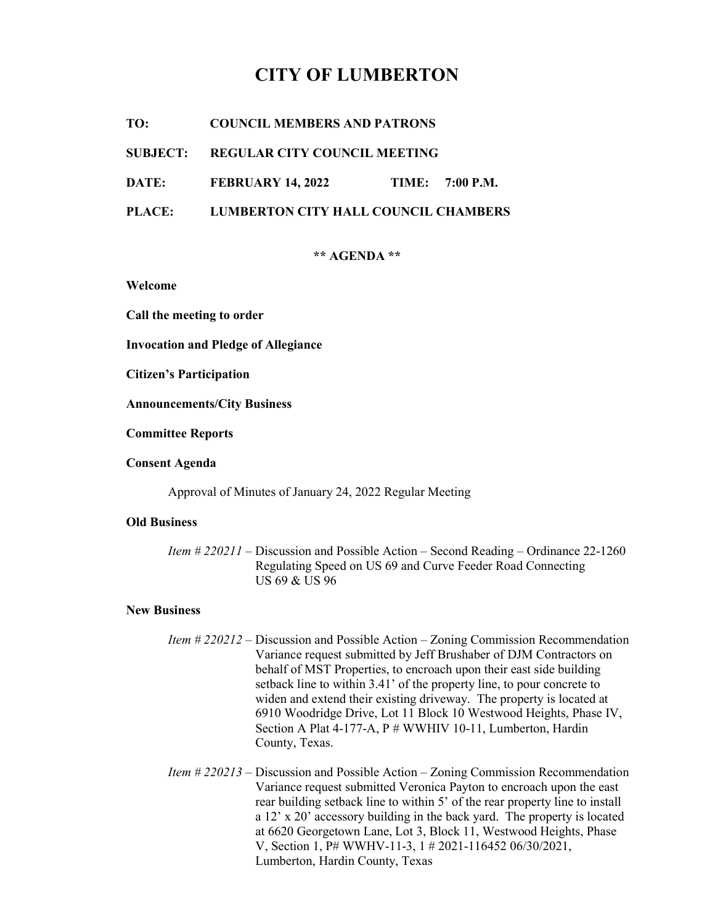# CITY OF LUMBERTON

TO: COUNCIL MEMBERS AND PATRONS

### SUBJECT: REGULAR CITY COUNCIL MEETING

DATE: FEBRUARY 14, 2022 TIME: 7:00 P.M.

# PLACE: LUMBERTON CITY HALL COUNCIL CHAMBERS

#### \*\* AGENDA \*\*

Welcome

Call the meeting to order

Invocation and Pledge of Allegiance

Citizen's Participation

Announcements/City Business

Committee Reports

Consent Agenda

Approval of Minutes of January 24, 2022 Regular Meeting

#### Old Business

 Item # 220211 – Discussion and Possible Action – Second Reading – Ordinance 22-1260 Regulating Speed on US 69 and Curve Feeder Road Connecting US 69 & US 96

#### New Business

- Item # 220212 Discussion and Possible Action Zoning Commission Recommendation Variance request submitted by Jeff Brushaber of DJM Contractors on behalf of MST Properties, to encroach upon their east side building setback line to within 3.41' of the property line, to pour concrete to widen and extend their existing driveway. The property is located at 6910 Woodridge Drive, Lot 11 Block 10 Westwood Heights, Phase IV, Section A Plat 4-177-A, P # WWHIV 10-11, Lumberton, Hardin County, Texas.
- Item # 220213 Discussion and Possible Action Zoning Commission Recommendation Variance request submitted Veronica Payton to encroach upon the east rear building setback line to within 5' of the rear property line to install a 12' x 20' accessory building in the back yard. The property is located at 6620 Georgetown Lane, Lot 3, Block 11, Westwood Heights, Phase V, Section 1, P# WWHV-11-3, 1 # 2021-116452 06/30/2021, Lumberton, Hardin County, Texas